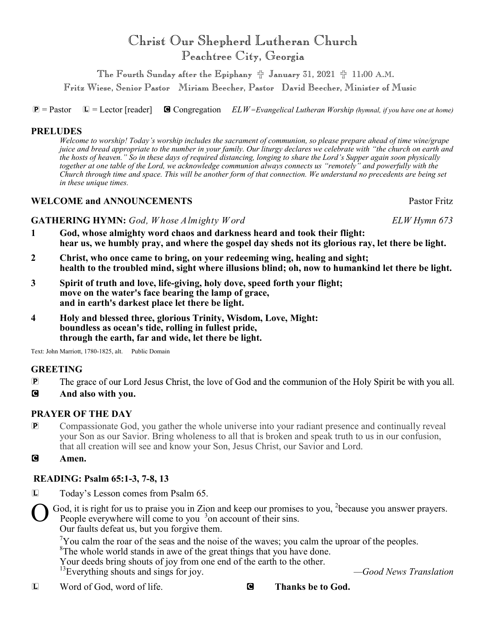# Christ Our Shepherd Lutheran Church Peachtree City, Georgia

The Fourth Sunday after the Epiphany  $#$  January 31, 2021  $#$  11:00 A.M.

Fritz Wiese, Senior Pastor Miriam Beecher, Pastor David Beecher, Minister of Music

P = Pastor L = Lector [reader] C Congregation *ELW=Evangelical Lutheran Worship (hymnal, if you have one at home)*

# **PRELUDES**

*Welcome to worship! Today's worship includes the sacrament of communion, so please prepare ahead of time wine/grape juice and bread appropriate to the number in your family. Our liturgy declares we celebrate with "the church on earth and the hosts of heaven." So in these days of required distancing, longing to share the Lord's Supper again soon physically together at one table of the Lord, we acknowledge communion always connects us "remotely" and powerfully with the Church through time and space. This will be another form of that connection. We understand no precedents are being set in these unique times.*

# **WELCOME and ANNOUNCEMENTS** Pastor Fritz

**GATHERING HYMN:** *God, W hose Almighty W ord ELW Hymn 673*

- **1 God, whose almighty word chaos and darkness heard and took their flight: hear us, we humbly pray, and where the gospel day sheds not its glorious ray, let there be light.**
- **2 Christ, who once came to bring, on your redeeming wing, healing and sight; health to the troubled mind, sight where illusions blind; oh, now to humankind let there be light.**
- **3 Spirit of truth and love, life-giving, holy dove, speed forth your flight; move on the water's face bearing the lamp of grace, and in earth's darkest place let there be light.**
- **4 Holy and blessed three, glorious Trinity, Wisdom, Love, Might: boundless as ocean's tide, rolling in fullest pride, through the earth, far and wide, let there be light.**

Text: John Marriott, 1780-1825, alt. Public Domain

# **GREETING**

- **P** The grace of our Lord Jesus Christ, the love of God and the communion of the Holy Spirit be with you all.
- C **And also with you.**

# **PRAYER OF THE DAY**

- P Compassionate God, you gather the whole universe into your radiant presence and continually reveal your Son as our Savior. Bring wholeness to all that is broken and speak truth to us in our confusion, that all creation will see and know your Son, Jesus Christ, our Savior and Lord.
- C **Amen.**

# **READING: Psalm 65:1-3, 7-8, 13**

L Today's Lesson comes from Psalm 65.

O God, it is right for us to praise you in Zion and keep our promises to you,  $2$ because you answer prayers. People everywhere will come to you <sup>3</sup> on account of their sins.

Our faults defeat us, but you forgive them.

 $\gamma$ You calm the roar of the seas and the noise of the waves; you calm the uproar of the peoples.

 ${}^{8}$ The whole world stands in awe of the great things that you have done.

Your deeds bring shouts of joy from one end of the earth to the other.

<sup>13</sup>Everything shouts and sings for joy.  $-$ Good News Translation

L Word of God, word of life. C **Thanks be to God.**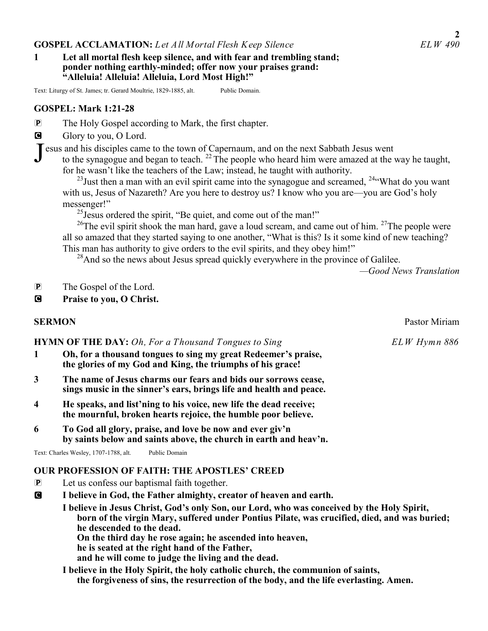#### **GOSPEL ACCLAMATION:** Let All Mortal Flesh Keep Silence

#### **1 Let all mortal flesh keep silence, and with fear and trembling stand; ponder nothing earthly-minded; offer now your praises grand: "Alleluia! Alleluia! Alleluia, Lord Most High!"**

Text: Liturgy of St. James; tr. Gerard Moultrie, 1829-1885, alt. Public Domain.

#### **GOSPEL: Mark 1:21-28**

P The Holy Gospel according to Mark, the first chapter.

G Glory to you, O Lord.

Jesus and his disciples came to the town of Capernaum, and on the next Sabbath Jesus went to the synagogue and began to teach.<sup>22</sup> The people who heard him were amazed at the v to the synagogue and began to teach. <sup>22</sup> The people who heard him were amazed at the way he taught, for he wasn't like the teachers of the Law; instead, he taught with authority.

 $^{23}$ Just then a man with an evil spirit came into the synagogue and screamed,  $^{24}$ "What do you want with us, Jesus of Nazareth? Are you here to destroy us? I know who you are—you are God's holy messenger!"

 $^{25}$ Jesus ordered the spirit, "Be quiet, and come out of the man!"

<sup>26</sup>The evil spirit shook the man hard, gave a loud scream, and came out of him. <sup>27</sup>The people were all so amazed that they started saying to one another, "What is this? Is it some kind of new teaching? This man has authority to give orders to the evil spirits, and they obey him!"

 $^{28}$ And so the news about Jesus spread quickly everywhere in the province of Galilee.

*—Good News Translation*

- P The Gospel of the Lord.
- C **Praise to you, O Christ.**

#### **HYMN OF THE DAY:** *Oh, For a Thousand Tongues to Sing* ELW Hymn 886

- **1 Oh, for a thousand tongues to sing my great Redeemer's praise, the glories of my God and King, the triumphs of his grace!**
- **3 The name of Jesus charms our fears and bids our sorrows cease, sings music in the sinner's ears, brings life and health and peace.**
- **4 He speaks, and list'ning to his voice, new life the dead receive; the mournful, broken hearts rejoice, the humble poor believe.**
- **6 To God all glory, praise, and love be now and ever giv'n by saints below and saints above, the church in earth and heav'n.**

Text: Charles Wesley, 1707-1788, alt. Public Domain

# **OUR PROFESSION OF FAITH: THE APOSTLES' CREED**

- P Let us confess our baptismal faith together.
- C **I believe in God, the Father almighty, creator of heaven and earth.**

**I believe in Jesus Christ, God's only Son, our Lord, who was conceived by the Holy Spirit, born of the virgin Mary, suffered under Pontius Pilate, was crucified, died, and was buried; he descended to the dead. On the third day he rose again; he ascended into heaven,** 

 **he is seated at the right hand of the Father,** 

**and he will come to judge the living and the dead.** 

**I believe in the Holy Spirit, the holy catholic church, the communion of saints, the forgiveness of sins, the resurrection of the body, and the life everlasting. Amen.** 

**SERMON** Pastor Miriam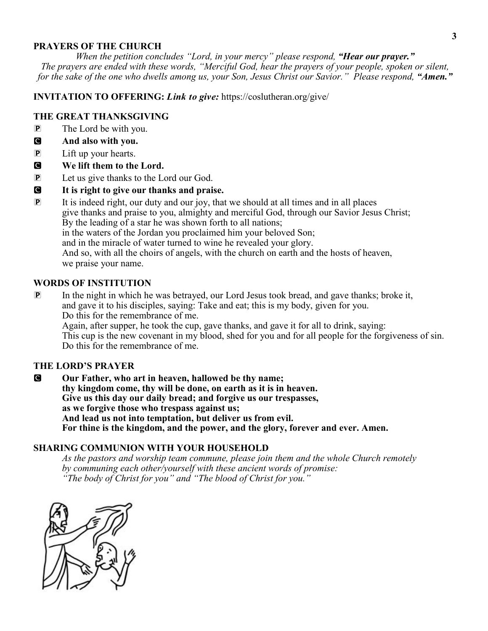## **PRAYERS OF THE CHURCH**

*When the petition concludes "Lord, in your mercy" please respond, "Hear our prayer." The prayers are ended with these words, "Merciful God, hear the prayers of your people, spoken or silent, for the sake of the one who dwells among us, your Son, Jesus Christ our Savior." Please respond, "Amen."* 

## **INVITATION TO OFFERING:** *Link to give:* https://coslutheran.org/give/

## **THE GREAT THANKSGIVING**

- P The Lord be with you.
- C **And also with you.**
- P Lift up your hearts.
- C **We lift them to the Lord.**
- P Let us give thanks to the Lord our God.
- C **It is right to give our thanks and praise.**
- P It is indeed right, our duty and our joy, that we should at all times and in all places give thanks and praise to you, almighty and merciful God, through our Savior Jesus Christ; By the leading of a star he was shown forth to all nations; in the waters of the Jordan you proclaimed him your beloved Son; and in the miracle of water turned to wine he revealed your glory. And so, with all the choirs of angels, with the church on earth and the hosts of heaven, we praise your name.

# **WORDS OF INSTITUTION**

P In the night in which he was betrayed, our Lord Jesus took bread, and gave thanks; broke it, and gave it to his disciples, saying: Take and eat; this is my body, given for you. Do this for the remembrance of me.

Again, after supper, he took the cup, gave thanks, and gave it for all to drink, saying: This cup is the new covenant in my blood, shed for you and for all people for the forgiveness of sin. Do this for the remembrance of me.

## **THE LORD'S PRAYER**

C **Our Father, who art in heaven, hallowed be thy name; thy kingdom come, thy will be done, on earth as it is in heaven. Give us this day our daily bread; and forgive us our trespasses, as we forgive those who trespass against us; And lead us not into temptation, but deliver us from evil. For thine is the kingdom, and the power, and the glory, forever and ever. Amen.** 

## **SHARING COMMUNION WITH YOUR HOUSEHOLD**

*As the pastors and worship team commune, please join them and the whole Church remotely by communing each other/yourself with these ancient words of promise: "The body of Christ for you" and "The blood of Christ for you."*